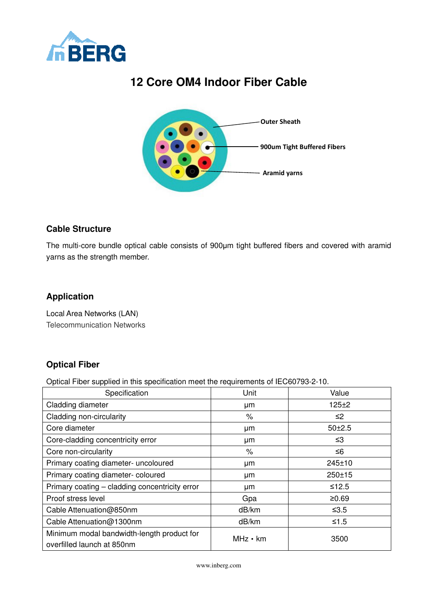

# **12 Core OM4 Indoor Fiber Cable**



#### **Cable Structure**

The multi-core bundle optical cable consists of 900μm tight buffered fibers and covered with aramid yarns as the strength member.

#### **Application**

Local Area Networks (LAN) Telecommunication Networks

### **Optical Fiber**

Optical Fiber supplied in this specification meet the requirements of IEC60793-2-10.

| Specification                                                            | Unit           | Value      |  |  |
|--------------------------------------------------------------------------|----------------|------------|--|--|
| Cladding diameter                                                        | μm             | 125±2      |  |  |
| Cladding non-circularity                                                 | %              | ≤2         |  |  |
| Core diameter                                                            | μm             | $50 + 2.5$ |  |  |
| Core-cladding concentricity error                                        | μm             | ≤3         |  |  |
| Core non-circularity                                                     | %              | ≤6         |  |  |
| Primary coating diameter- uncoloured                                     | μm             | 245±10     |  |  |
| Primary coating diameter-coloured                                        | μm             | 250±15     |  |  |
| Primary coating - cladding concentricity error                           | μm             | $≤12.5$    |  |  |
| Proof stress level                                                       | Gpa            | ≥0.69      |  |  |
| Cable Attenuation@850nm                                                  | dB/km          | $≤3.5$     |  |  |
| Cable Attenuation@1300nm                                                 | dB/km          | $≤1.5$     |  |  |
| Minimum modal bandwidth-length product for<br>overfilled launch at 850nm | $MHz \cdot km$ | 3500       |  |  |